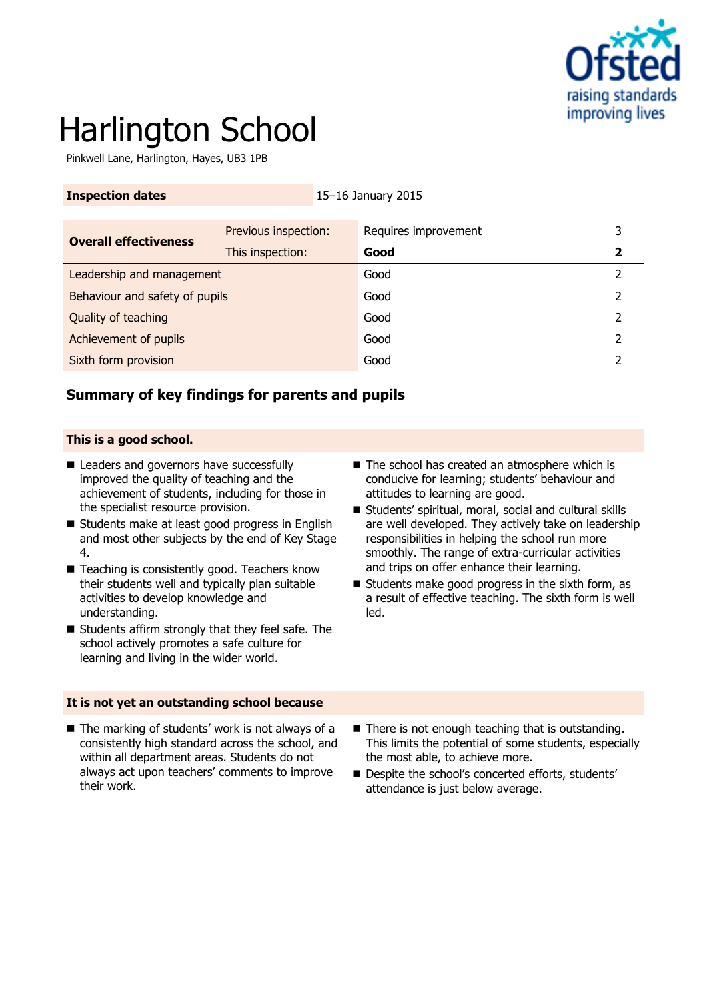

# Harlington School

Pinkwell Lane, Harlington, Hayes, UB3 1PB

| <b>Inspection dates</b>        |                      | 15-16 January 2015   |   |
|--------------------------------|----------------------|----------------------|---|
|                                |                      |                      |   |
| <b>Overall effectiveness</b>   | Previous inspection: | Requires improvement | 3 |
|                                | This inspection:     | Good                 |   |
| Leadership and management      |                      | Good                 | 2 |
| Behaviour and safety of pupils |                      | Good                 |   |
| Quality of teaching            |                      | Good                 |   |
| Achievement of pupils          |                      | Good                 |   |
| Sixth form provision           |                      | Good                 |   |
|                                |                      |                      |   |

# **Summary of key findings for parents and pupils**

### **This is a good school.**

their work.

- Leaders and governors have successfully improved the quality of teaching and the achievement of students, including for those in the specialist resource provision.
- Students make at least good progress in English and most other subjects by the end of Key Stage 4.
- Teaching is consistently good. Teachers know their students well and typically plan suitable activities to develop knowledge and understanding.
- Students affirm strongly that they feel safe. The school actively promotes a safe culture for learning and living in the wider world.

- **It is not yet an outstanding school because**  $\blacksquare$  The marking of students' work is not always of a consistently high standard across the school, and within all department areas. Students do not  $\blacksquare$  There is not enough teaching that is outstanding. This limits the potential of some students, especially
	- always act upon teachers' comments to improve the most able, to achieve more. Despite the school's concerted efforts, students' attendance is just below average.
- The school has created an atmosphere which is conducive for learning; students' behaviour and attitudes to learning are good.
- Students' spiritual, moral, social and cultural skills are well developed. They actively take on leadership responsibilities in helping the school run more smoothly. The range of extra-curricular activities and trips on offer enhance their learning.
- $\blacksquare$  Students make good progress in the sixth form, as a result of effective teaching. The sixth form is well led.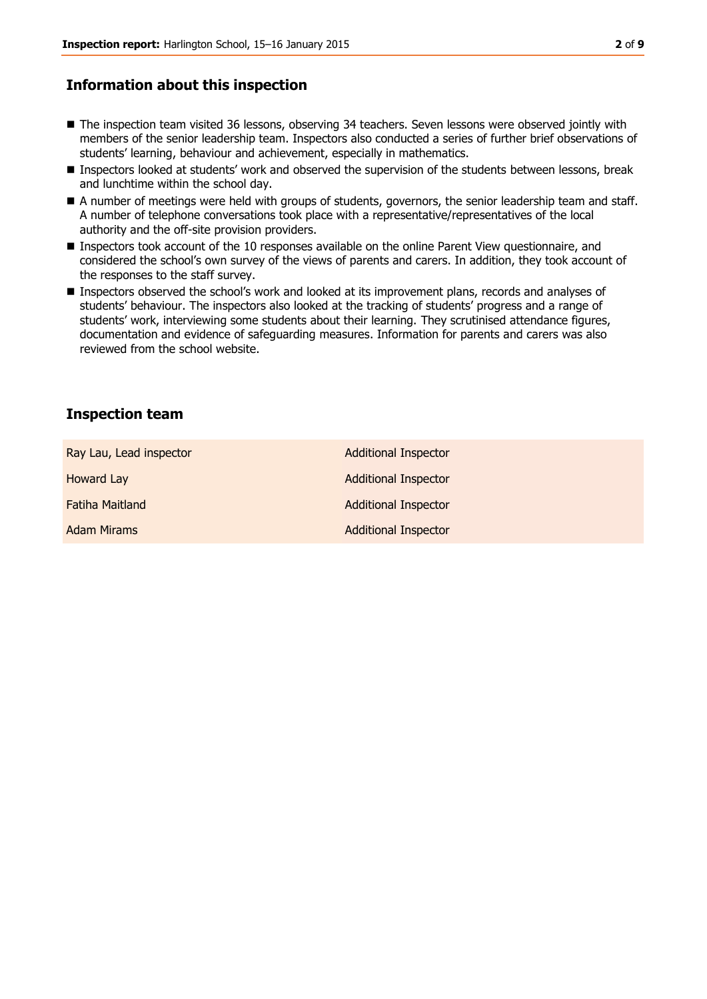# **Information about this inspection**

- The inspection team visited 36 lessons, observing 34 teachers. Seven lessons were observed jointly with members of the senior leadership team. Inspectors also conducted a series of further brief observations of students' learning, behaviour and achievement, especially in mathematics.
- **Inspectors looked at students' work and observed the supervision of the students between lessons, break** and lunchtime within the school day.
- A number of meetings were held with groups of students, governors, the senior leadership team and staff. A number of telephone conversations took place with a representative/representatives of the local authority and the off-site provision providers.
- Inspectors took account of the 10 responses available on the online Parent View questionnaire, and considered the school's own survey of the views of parents and carers. In addition, they took account of the responses to the staff survey.
- **Inspectors observed the school's work and looked at its improvement plans, records and analyses of** students' behaviour. The inspectors also looked at the tracking of students' progress and a range of students' work, interviewing some students about their learning. They scrutinised attendance figures, documentation and evidence of safeguarding measures. Information for parents and carers was also reviewed from the school website.

## **Inspection team**

| Ray Lau, Lead inspector | <b>Additional Inspector</b> |
|-------------------------|-----------------------------|
| <b>Howard Lay</b>       | <b>Additional Inspector</b> |
| <b>Fatiha Maitland</b>  | <b>Additional Inspector</b> |
| <b>Adam Mirams</b>      | <b>Additional Inspector</b> |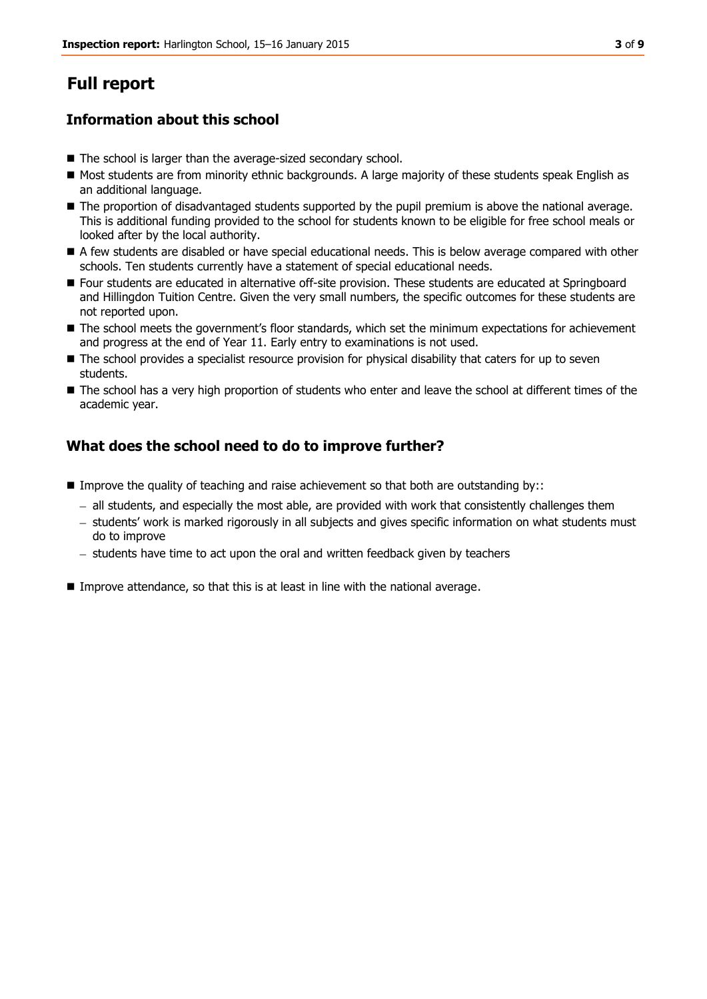# **Full report**

# **Information about this school**

- The school is larger than the average-sized secondary school.
- Most students are from minority ethnic backgrounds. A large majority of these students speak English as an additional language.
- $\blacksquare$  The proportion of disadvantaged students supported by the pupil premium is above the national average. This is additional funding provided to the school for students known to be eligible for free school meals or looked after by the local authority.
- A few students are disabled or have special educational needs. This is below average compared with other schools. Ten students currently have a statement of special educational needs.
- Four students are educated in alternative off-site provision. These students are educated at Springboard and Hillingdon Tuition Centre. Given the very small numbers, the specific outcomes for these students are not reported upon.
- The school meets the government's floor standards, which set the minimum expectations for achievement and progress at the end of Year 11. Early entry to examinations is not used.
- $\blacksquare$  The school provides a specialist resource provision for physical disability that caters for up to seven students.
- The school has a very high proportion of students who enter and leave the school at different times of the academic year.

# **What does the school need to do to improve further?**

- Improve the quality of teaching and raise achievement so that both are outstanding by::
	- all students, and especially the most able, are provided with work that consistently challenges them
	- students' work is marked rigorously in all subjects and gives specific information on what students must do to improve
	- $-$  students have time to act upon the oral and written feedback given by teachers
- Improve attendance, so that this is at least in line with the national average.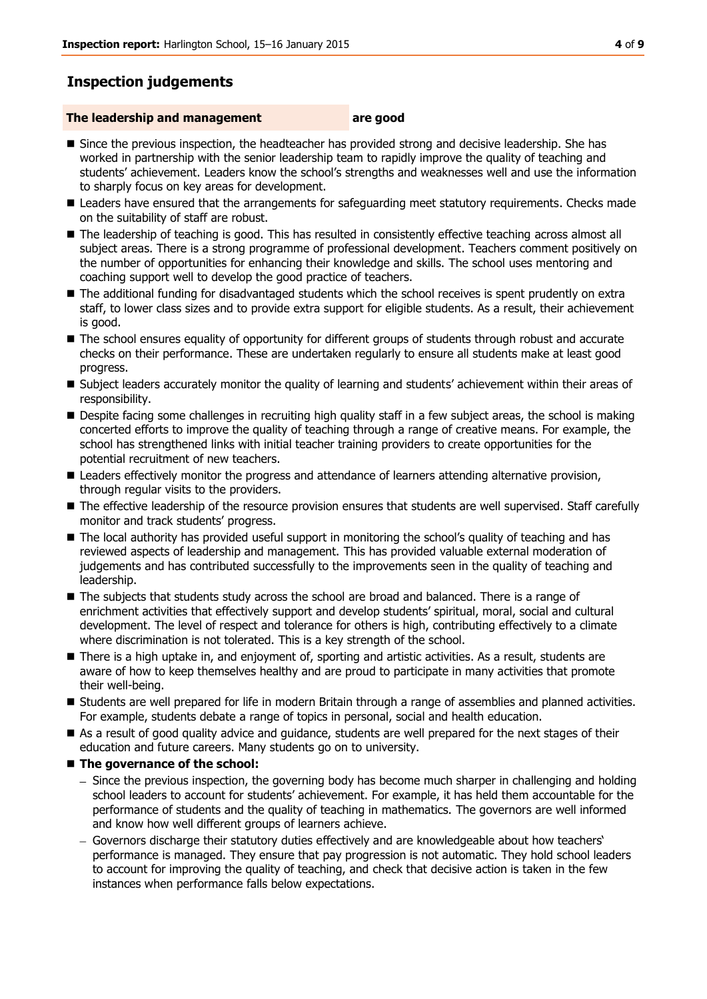# **Inspection judgements**

### **The leadership and management are good**

- **Since the previous inspection, the headteacher has provided strong and decisive leadership. She has** worked in partnership with the senior leadership team to rapidly improve the quality of teaching and students' achievement. Leaders know the school's strengths and weaknesses well and use the information to sharply focus on key areas for development.
- Leaders have ensured that the arrangements for safeguarding meet statutory requirements. Checks made on the suitability of staff are robust.
- The leadership of teaching is good. This has resulted in consistently effective teaching across almost all subject areas. There is a strong programme of professional development. Teachers comment positively on the number of opportunities for enhancing their knowledge and skills. The school uses mentoring and coaching support well to develop the good practice of teachers.
- The additional funding for disadvantaged students which the school receives is spent prudently on extra staff, to lower class sizes and to provide extra support for eligible students. As a result, their achievement is good.
- The school ensures equality of opportunity for different groups of students through robust and accurate checks on their performance. These are undertaken regularly to ensure all students make at least good progress.
- Subject leaders accurately monitor the quality of learning and students' achievement within their areas of responsibility.
- Despite facing some challenges in recruiting high quality staff in a few subject areas, the school is making concerted efforts to improve the quality of teaching through a range of creative means. For example, the school has strengthened links with initial teacher training providers to create opportunities for the potential recruitment of new teachers.
- **Leaders effectively monitor the progress and attendance of learners attending alternative provision,** through regular visits to the providers.
- The effective leadership of the resource provision ensures that students are well supervised. Staff carefully monitor and track students' progress.
- The local authority has provided useful support in monitoring the school's quality of teaching and has reviewed aspects of leadership and management. This has provided valuable external moderation of judgements and has contributed successfully to the improvements seen in the quality of teaching and leadership.
- **The subjects that students study across the school are broad and balanced. There is a range of** enrichment activities that effectively support and develop students' spiritual, moral, social and cultural development. The level of respect and tolerance for others is high, contributing effectively to a climate where discrimination is not tolerated. This is a key strength of the school.
- There is a high uptake in, and enjoyment of, sporting and artistic activities. As a result, students are aware of how to keep themselves healthy and are proud to participate in many activities that promote their well-being.
- **Students are well prepared for life in modern Britain through a range of assemblies and planned activities.** For example, students debate a range of topics in personal, social and health education.
- As a result of good quality advice and guidance, students are well prepared for the next stages of their education and future careers. Many students go on to university.

### ■ The governance of the school:

- Since the previous inspection, the governing body has become much sharper in challenging and holding school leaders to account for students' achievement. For example, it has held them accountable for the performance of students and the quality of teaching in mathematics. The governors are well informed and know how well different groups of learners achieve.
- Governors discharge their statutory duties effectively and are knowledgeable about how teachers' performance is managed. They ensure that pay progression is not automatic. They hold school leaders to account for improving the quality of teaching, and check that decisive action is taken in the few instances when performance falls below expectations.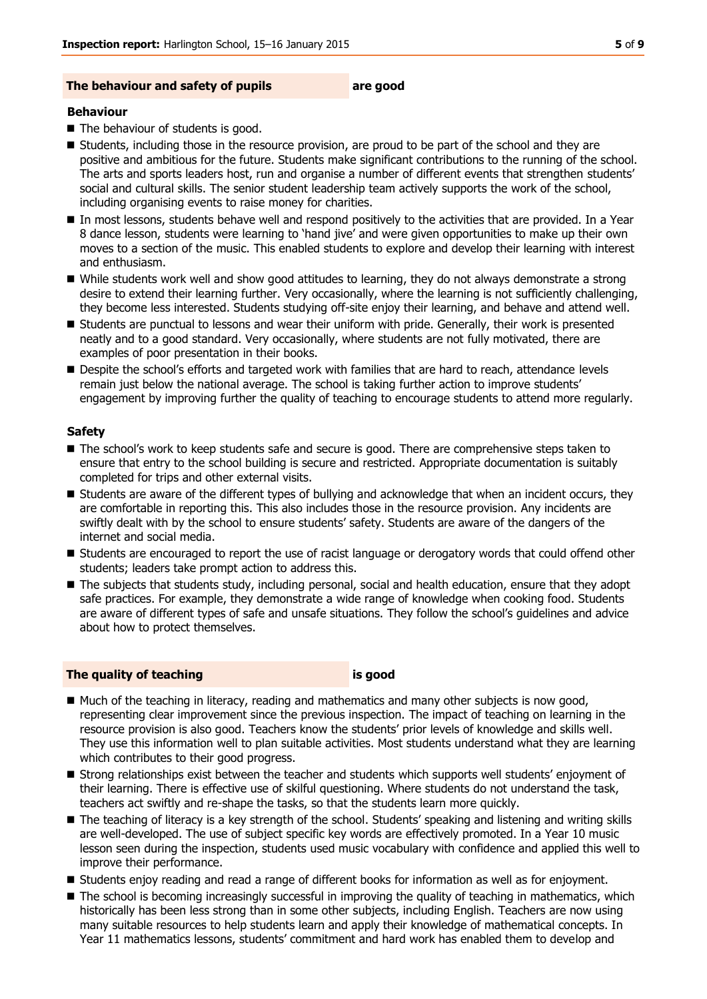#### **The behaviour and safety of pupils are good**

#### **Behaviour**

- $\blacksquare$  The behaviour of students is good.
- **E** Students, including those in the resource provision, are proud to be part of the school and they are positive and ambitious for the future. Students make significant contributions to the running of the school. The arts and sports leaders host, run and organise a number of different events that strengthen students' social and cultural skills. The senior student leadership team actively supports the work of the school, including organising events to raise money for charities.
- In most lessons, students behave well and respond positively to the activities that are provided. In a Year 8 dance lesson, students were learning to 'hand jive' and were given opportunities to make up their own moves to a section of the music. This enabled students to explore and develop their learning with interest and enthusiasm.
- While students work well and show good attitudes to learning, they do not always demonstrate a strong desire to extend their learning further. Very occasionally, where the learning is not sufficiently challenging, they become less interested. Students studying off-site enjoy their learning, and behave and attend well.
- Students are punctual to lessons and wear their uniform with pride. Generally, their work is presented neatly and to a good standard. Very occasionally, where students are not fully motivated, there are examples of poor presentation in their books.
- **Despite the school's efforts and targeted work with families that are hard to reach, attendance levels** remain just below the national average. The school is taking further action to improve students' engagement by improving further the quality of teaching to encourage students to attend more regularly.

#### **Safety**

- $\blacksquare$  The school's work to keep students safe and secure is good. There are comprehensive steps taken to ensure that entry to the school building is secure and restricted. Appropriate documentation is suitably completed for trips and other external visits.
- Students are aware of the different types of bullying and acknowledge that when an incident occurs, they are comfortable in reporting this. This also includes those in the resource provision. Any incidents are swiftly dealt with by the school to ensure students' safety. Students are aware of the dangers of the internet and social media.
- Students are encouraged to report the use of racist language or derogatory words that could offend other students; leaders take prompt action to address this.
- The subjects that students study, including personal, social and health education, ensure that they adopt safe practices. For example, they demonstrate a wide range of knowledge when cooking food. Students are aware of different types of safe and unsafe situations. They follow the school's guidelines and advice about how to protect themselves.

#### **The quality of teaching is good**

- Much of the teaching in literacy, reading and mathematics and many other subjects is now good, representing clear improvement since the previous inspection. The impact of teaching on learning in the resource provision is also good. Teachers know the students' prior levels of knowledge and skills well. They use this information well to plan suitable activities. Most students understand what they are learning which contributes to their good progress.
- Strong relationships exist between the teacher and students which supports well students' enjoyment of their learning. There is effective use of skilful questioning. Where students do not understand the task, teachers act swiftly and re-shape the tasks, so that the students learn more quickly.
- The teaching of literacy is a key strength of the school. Students' speaking and listening and writing skills are well-developed. The use of subject specific key words are effectively promoted. In a Year 10 music lesson seen during the inspection, students used music vocabulary with confidence and applied this well to improve their performance.
- **Students enjoy reading and read a range of different books for information as well as for enjoyment.**
- The school is becoming increasingly successful in improving the quality of teaching in mathematics, which historically has been less strong than in some other subjects, including English. Teachers are now using many suitable resources to help students learn and apply their knowledge of mathematical concepts. In Year 11 mathematics lessons, students' commitment and hard work has enabled them to develop and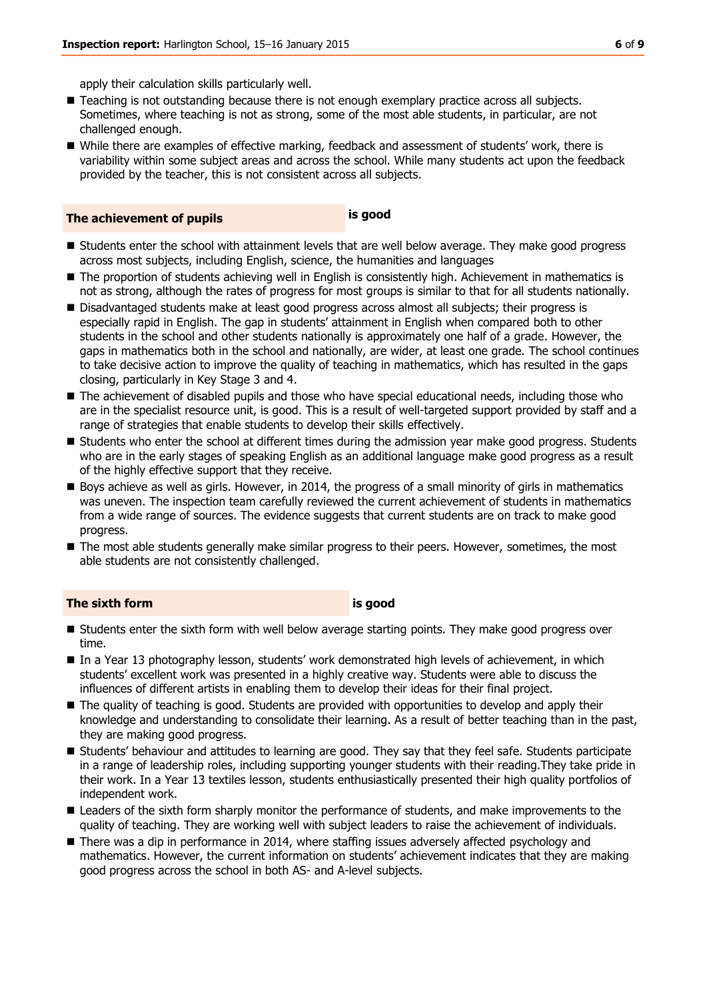apply their calculation skills particularly well.

- **Teaching is not outstanding because there is not enough exemplary practice across all subjects.** Sometimes, where teaching is not as strong, some of the most able students, in particular, are not challenged enough.
- While there are examples of effective marking, feedback and assessment of students' work, there is variability within some subject areas and across the school. While many students act upon the feedback provided by the teacher, this is not consistent across all subjects.

| The achievement of pupils | is good |
|---------------------------|---------|
|---------------------------|---------|

- Students enter the school with attainment levels that are well below average. They make good progress across most subjects, including English, science, the humanities and languages
- The proportion of students achieving well in English is consistently high. Achievement in mathematics is not as strong, although the rates of progress for most groups is similar to that for all students nationally.
- Disadvantaged students make at least good progress across almost all subjects; their progress is especially rapid in English. The gap in students' attainment in English when compared both to other students in the school and other students nationally is approximately one half of a grade. However, the gaps in mathematics both in the school and nationally, are wider, at least one grade. The school continues to take decisive action to improve the quality of teaching in mathematics, which has resulted in the gaps closing, particularly in Key Stage 3 and 4.
- The achievement of disabled pupils and those who have special educational needs, including those who are in the specialist resource unit, is good. This is a result of well-targeted support provided by staff and a range of strategies that enable students to develop their skills effectively.
- **Students who enter the school at different times during the admission year make good progress. Students** who are in the early stages of speaking English as an additional language make good progress as a result of the highly effective support that they receive.
- Boys achieve as well as girls. However, in 2014, the progress of a small minority of girls in mathematics was uneven. The inspection team carefully reviewed the current achievement of students in mathematics from a wide range of sources. The evidence suggests that current students are on track to make good progress.
- The most able students generally make similar progress to their peers. However, sometimes, the most able students are not consistently challenged.

### **The sixth form is good**

- **Students enter the sixth form with well below average starting points. They make good progress over** time.
- In a Year 13 photography lesson, students' work demonstrated high levels of achievement, in which students' excellent work was presented in a highly creative way. Students were able to discuss the influences of different artists in enabling them to develop their ideas for their final project.
- The quality of teaching is good. Students are provided with opportunities to develop and apply their knowledge and understanding to consolidate their learning. As a result of better teaching than in the past, they are making good progress.
- Students' behaviour and attitudes to learning are good. They say that they feel safe. Students participate in a range of leadership roles, including supporting younger students with their reading.They take pride in their work. In a Year 13 textiles lesson, students enthusiastically presented their high quality portfolios of independent work.
- **Leaders of the sixth form sharply monitor the performance of students, and make improvements to the** quality of teaching. They are working well with subject leaders to raise the achievement of individuals.
- **There was a dip in performance in 2014, where staffing issues adversely affected psychology and** mathematics. However, the current information on students' achievement indicates that they are making good progress across the school in both AS- and A-level subjects.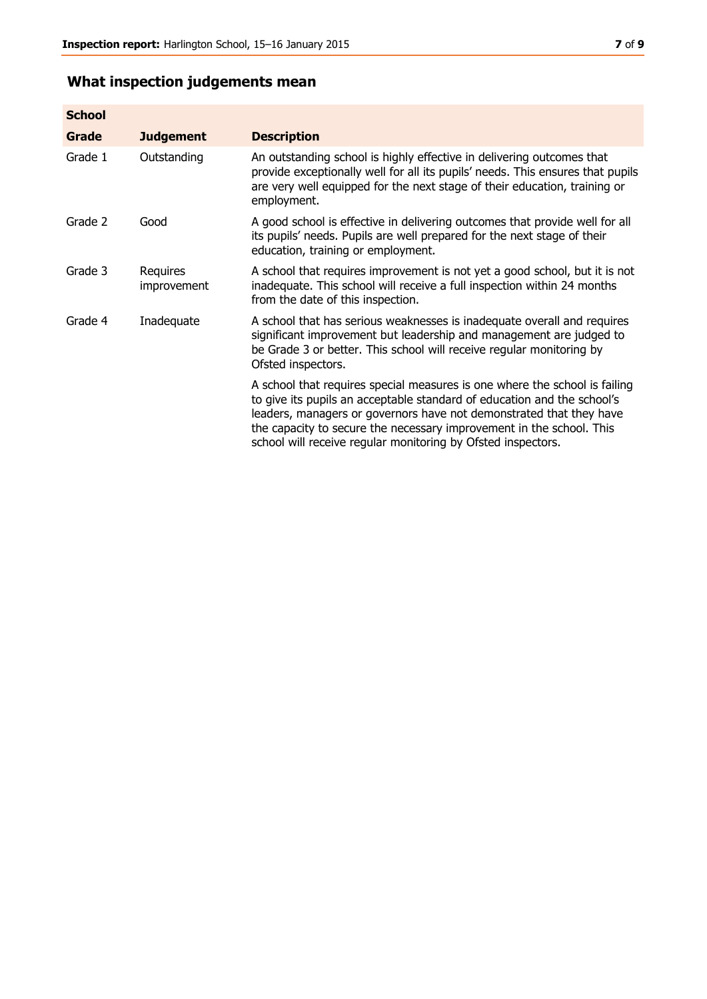# **What inspection judgements mean**

| <b>School</b> |                         |                                                                                                                                                                                                                                                                                                                                                                      |
|---------------|-------------------------|----------------------------------------------------------------------------------------------------------------------------------------------------------------------------------------------------------------------------------------------------------------------------------------------------------------------------------------------------------------------|
| Grade         | <b>Judgement</b>        | <b>Description</b>                                                                                                                                                                                                                                                                                                                                                   |
| Grade 1       | Outstanding             | An outstanding school is highly effective in delivering outcomes that<br>provide exceptionally well for all its pupils' needs. This ensures that pupils<br>are very well equipped for the next stage of their education, training or<br>employment.                                                                                                                  |
| Grade 2       | Good                    | A good school is effective in delivering outcomes that provide well for all<br>its pupils' needs. Pupils are well prepared for the next stage of their<br>education, training or employment.                                                                                                                                                                         |
| Grade 3       | Requires<br>improvement | A school that requires improvement is not yet a good school, but it is not<br>inadequate. This school will receive a full inspection within 24 months<br>from the date of this inspection.                                                                                                                                                                           |
| Grade 4       | Inadequate              | A school that has serious weaknesses is inadequate overall and requires<br>significant improvement but leadership and management are judged to<br>be Grade 3 or better. This school will receive regular monitoring by<br>Ofsted inspectors.                                                                                                                         |
|               |                         | A school that requires special measures is one where the school is failing<br>to give its pupils an acceptable standard of education and the school's<br>leaders, managers or governors have not demonstrated that they have<br>the capacity to secure the necessary improvement in the school. This<br>school will receive regular monitoring by Ofsted inspectors. |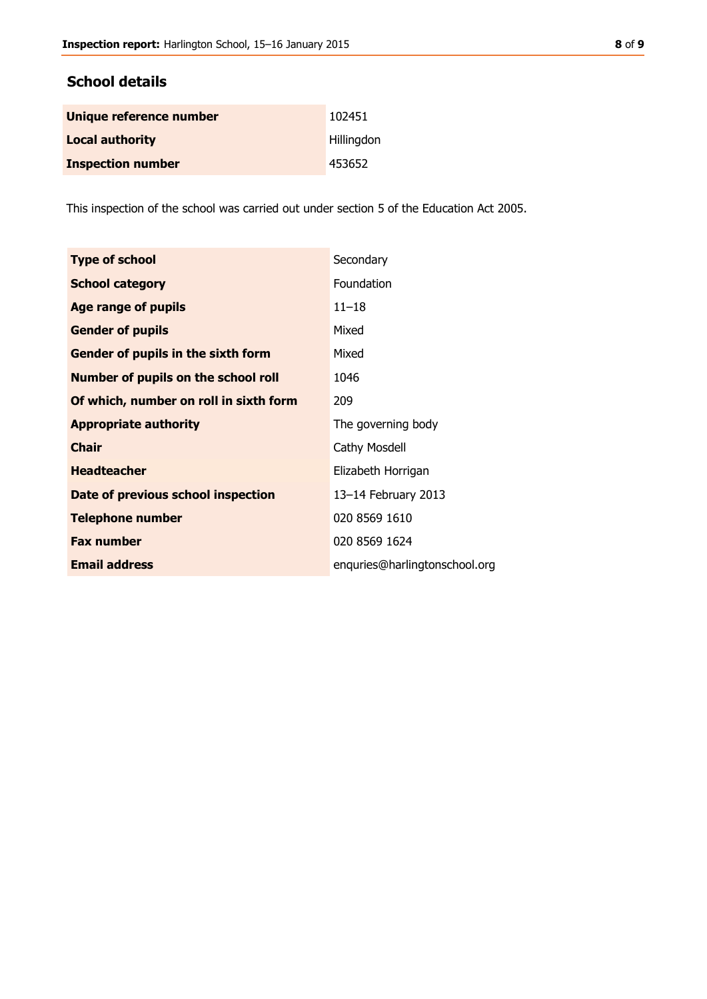### **School details**

| Unique reference number  | 102451     |
|--------------------------|------------|
| <b>Local authority</b>   | Hillingdon |
| <b>Inspection number</b> | 453652     |

This inspection of the school was carried out under section 5 of the Education Act 2005.

| <b>Type of school</b>                      | Secondary                     |
|--------------------------------------------|-------------------------------|
| <b>School category</b>                     | Foundation                    |
| <b>Age range of pupils</b>                 | $11 - 18$                     |
| <b>Gender of pupils</b>                    | Mixed                         |
| Gender of pupils in the sixth form         | Mixed                         |
| <b>Number of pupils on the school roll</b> | 1046                          |
| Of which, number on roll in sixth form     | 209                           |
| <b>Appropriate authority</b>               | The governing body            |
| <b>Chair</b>                               | <b>Cathy Mosdell</b>          |
| <b>Headteacher</b>                         | Elizabeth Horrigan            |
| Date of previous school inspection         | 13-14 February 2013           |
| <b>Telephone number</b>                    | 020 8569 1610                 |
| <b>Fax number</b>                          | 020 8569 1624                 |
| <b>Email address</b>                       | enquries@harlingtonschool.org |